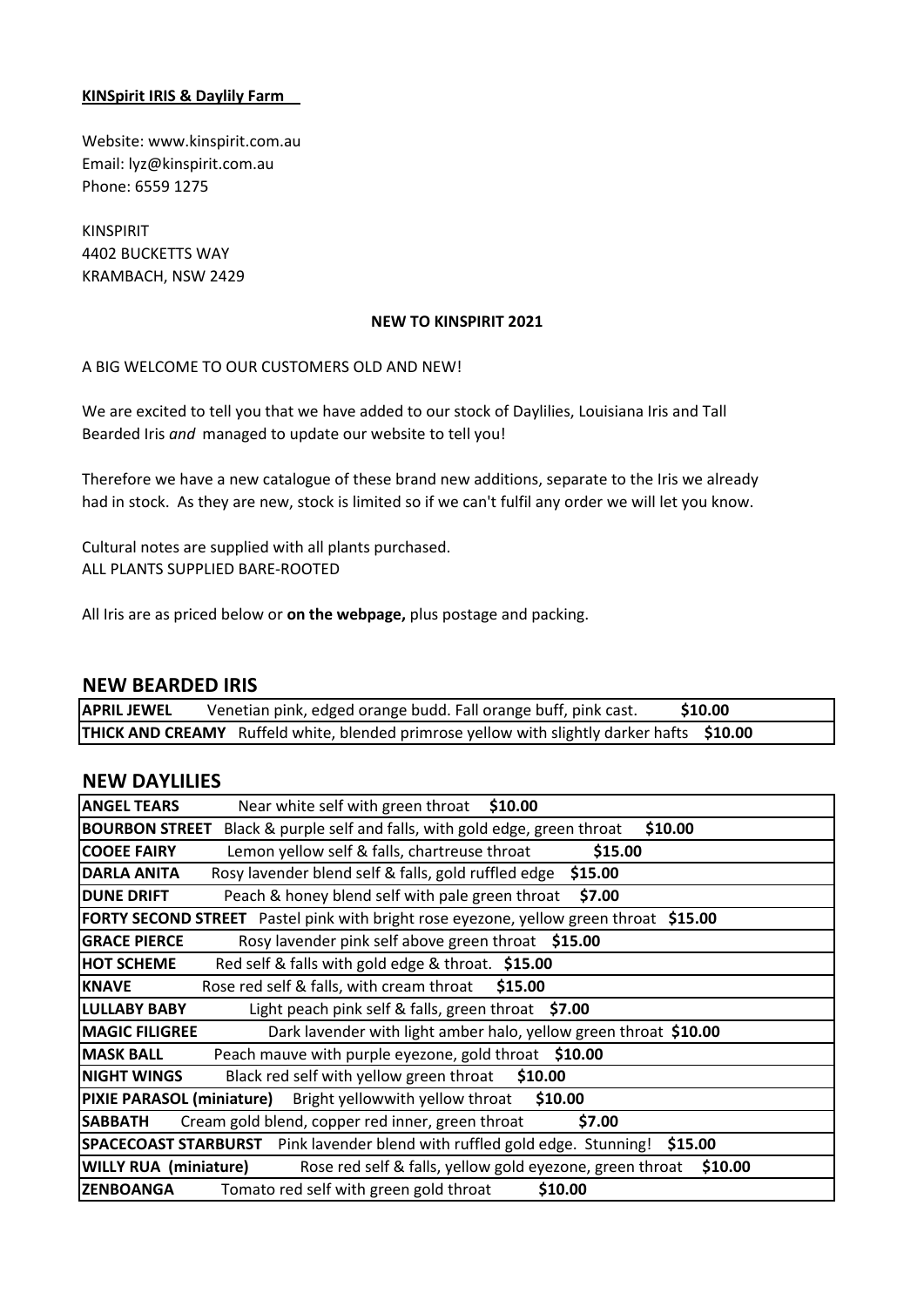### **KINSpirit IRIS & Daylily Farm**

Website: www.kinspirit.com.au Email: lyz@kinspirit.com.au Phone: 6559 1275

KINSPIRIT 4402 BUCKETTS WAY KRAMBACH, NSW 2429

#### **NEW TO KINSPIRIT 2021**

#### A BIG WELCOME TO OUR CUSTOMERS OLD AND NEW!

We are excited to tell you that we have added to our stock of Daylilies, Louisiana Iris and Tall Bearded Iris *and* managed to update our website to tell you!

Therefore we have a new catalogue of these brand new additions, separate to the Iris we already had in stock. As they are new, stock is limited so if we can't fulfil any order we will let you know.

Cultural notes are supplied with all plants purchased. ALL PLANTS SUPPLIED BARE-ROOTED

All Iris are as priced below or **on the webpage,** plus postage and packing.

#### **NEW BEARDED IRIS**

| <b>APRIL JEWEL</b> | Venetian pink, edged orange budd. Fall orange buff, pink cast.                                    | \$10.00 |
|--------------------|---------------------------------------------------------------------------------------------------|---------|
|                    | <b>THICK AND CREAMY</b> Ruffeld white, blended primrose yellow with slightly darker hafts \$10.00 |         |

## **NEW DAYLILIES**